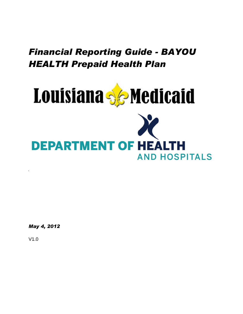

*May 4, 2012*

V1.0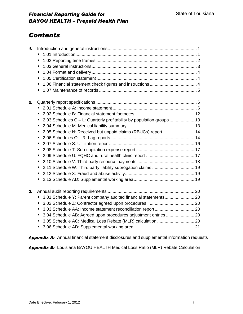### *Contents*

| 1. |                                                                             |  |
|----|-----------------------------------------------------------------------------|--|
|    |                                                                             |  |
|    | п                                                                           |  |
|    | ٠                                                                           |  |
|    | п                                                                           |  |
|    | ٠                                                                           |  |
|    | п                                                                           |  |
|    | ٠                                                                           |  |
| 2. |                                                                             |  |
|    | ×,                                                                          |  |
|    | ш                                                                           |  |
|    | 2.03 Schedules C – L: Quarterly profitability by population groups  13<br>ш |  |
|    | ٠                                                                           |  |
|    | 2.05 Schedule N: Received but unpaid claims (RBUCs) report  14<br>Ξ         |  |
|    | п                                                                           |  |
|    | Ξ                                                                           |  |
|    | ш                                                                           |  |
|    | п                                                                           |  |
|    |                                                                             |  |
|    | 2.11 Schedule W: Third party liability subrogation claims  19<br>Ξ          |  |
|    |                                                                             |  |
|    | ш                                                                           |  |
| 3. |                                                                             |  |
|    | 3.01 Schedule Y: Parent company audited financial statements 20<br>ш        |  |
|    |                                                                             |  |
|    | п                                                                           |  |
|    | п                                                                           |  |
|    |                                                                             |  |
|    | п                                                                           |  |

*Appendix A:* Annual financial statement disclosures and supplemental information requests

*Appendix B:* Louisiana BAYOU HEALTH Medical Loss Ratio (MLR) Rebate Calculation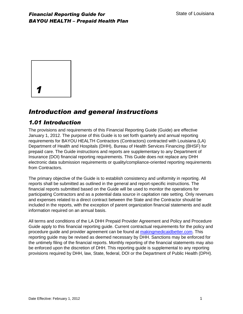

## *Introduction and general instructions*

#### *1.01 Introduction*

The provisions and requirements of this Financial Reporting Guide (Guide) are effective January 1, 2012. The purpose of this Guide is to set forth quarterly and annual reporting requirements for BAYOU HEALTH Contractors (Contractors) contracted with Louisiana (LA) Department of Health and Hospitals (DHH), Bureau of Health Services Financing (BHSF) for prepaid care. The Guide instructions and reports are supplementary to any Department of Insurance (DOI) financial reporting requirements. This Guide does not replace any DHH electronic data submission requirements or quality/compliance-oriented reporting requirements from Contractors.

The primary objective of the Guide is to establish consistency and uniformity in reporting. All reports shall be submitted as outlined in the general and report-specific instructions. The financial reports submitted based on the Guide will be used to monitor the operations for participating Contractors and as a potential data source in capitation rate setting. Only revenues and expenses related to a direct contract between the State and the Contractor should be included in the reports, with the exception of parent organization financial statements and audit information required on an annual basis.

All terms and conditions of the LA DHH Prepaid Provider Agreement and Policy and Procedure Guide apply to this financial reporting guide. Current contractual requirements for the policy and procedure guide and provider agreement can be found at makingmedicaidbetter.com. This reporting guide may be revised as deemed necessary by DHH. Sanctions may be enforced for the untimely filing of the financial reports. Monthly reporting of the financial statements may also be enforced upon the discretion of DHH. This reporting guide is supplemental to any reporting provisions required by DHH, law, State, federal, DOI or the Department of Public Health (DPH).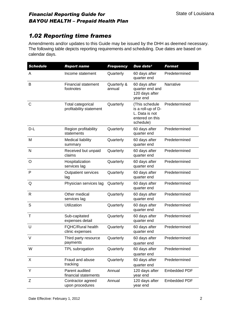#### *1.02 Reporting time frames*

Amendments and/or updates to this Guide may be issued by the DHH as deemed necessary. The following table depicts reporting requirements and scheduling. Due dates are based on calendar days.

| <b>Schedule</b> | <b>Report name</b>                           | <b>Frequency</b>      | Due date <sup>1</sup>                                                                  | <b>Format</b>       |
|-----------------|----------------------------------------------|-----------------------|----------------------------------------------------------------------------------------|---------------------|
| Α               | Income statement                             | Quarterly             | 60 days after<br>quarter end                                                           | Predetermined       |
| B               | <b>Financial statement</b><br>footnotes      | Quarterly &<br>annual | 60 days after<br>quarter end and<br>120 days after<br>year end                         | Narrative           |
| С               | Total categorical<br>profitability statement | Quarterly             | (This schedule<br>is a roll-up of D-<br>L. Data is not<br>entered on this<br>schedule) | Predetermined       |
| D-L             | Region profitability<br>statements           | Quarterly             | 60 days after<br>quarter end                                                           | Predetermined       |
| M               | Medical liability<br>summary                 | Quarterly             | 60 days after<br>quarter end                                                           | Predetermined       |
| N               | Received but unpaid<br>claims                | Quarterly             | 60 days after<br>quarter end                                                           | Predetermined       |
| O               | Hospitalization<br>services lag              | Quarterly             | 60 days after<br>quarter end                                                           | Predetermined       |
| P               | <b>Outpatient services</b><br>lag            | Quarterly             | 60 days after<br>quarter end                                                           | Predetermined       |
| Q               | Physician services lag                       | Quarterly             | 60 days after<br>quarter end                                                           | Predetermined       |
| $\mathsf{R}$    | Other medical<br>services lag                | Quarterly             | 60 days after<br>quarter end                                                           | Predetermined       |
| S               | Utilization                                  | Quarterly             | 60 days after<br>quarter end                                                           | Predetermined       |
| Τ               | Sub-capitated<br>expenses detail             | Quarterly             | 60 days after<br>quarter end                                                           | Predetermined       |
| U               | <b>FQHC/Rural health</b><br>clinic expenses  | Quarterly             | 60 days after<br>quarter end                                                           | Predetermined       |
| V               | Third party resource<br>payments             | Quarterly             | 60 days after<br>quarter end                                                           | Predetermined       |
| W               | TPL subrogation                              | Quarterly             | 60 days after<br>quarter end                                                           | Predetermined       |
| X               | Fraud and abuse<br>tracking                  | Quarterly             | 60 days after<br>quarter end                                                           | Predetermined       |
| Y               | Parent audited<br>financial statements       | Annual                | 120 days after<br>year end                                                             | <b>Embedded PDF</b> |
| Ζ               | Contractor agreed<br>upon procedures         | Annual                | 120 days after<br>year end                                                             | <b>Embedded PDF</b> |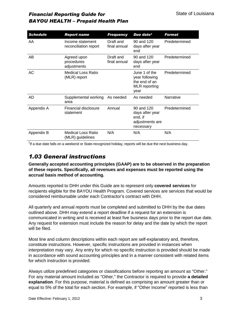| <b>Schedule</b> | <b>Report name</b>                        | <b>Frequency</b>          | Due date <sup>1</sup>                                                            | <b>Format</b> |
|-----------------|-------------------------------------------|---------------------------|----------------------------------------------------------------------------------|---------------|
| AA              | Income statement<br>reconciliation report | Draft and<br>final annual | 90 and 120<br>days after year<br>end                                             | Predetermined |
| AB              | Agreed upon<br>procedures<br>adjustments  | Draft and<br>final annual | 90 and 120<br>days after year<br>end                                             | Predetermined |
| AC              | Medical Loss Ratio<br>(MLR) report        |                           | June 1 of the<br>year following<br>the end of an<br><b>MLR</b> reporting<br>year | Predetermined |
| AD              | Supplemental working<br>area              | As needed                 | As needed                                                                        | Narrative     |
| Appendix A      | Financial disclosure<br>statement         | Annual                    | $90$ and $120$<br>days after year<br>end, if<br>adjustments are<br>necessary     | Predetermined |
| Appendix B      | Medical Loss Ratio<br>(MLR) guidelines    | N/A                       | N/A                                                                              | N/A           |

 $1$ If a due date falls on a weekend or State-recognized holiday, reports will be due the next business day.

#### *1.03 General instructions*

**Generally accepted accounting principles (GAAP) are to be observed in the preparation of these reports. Specifically, all revenues and expenses must be reported using the accrual basis method of accounting.**

Amounts reported to DHH under this Guide are to represent only **covered services** for recipients eligible for the BAYOU Health Program. Covered services are services that would be considered reimbursable under each Contractor's contract with DHH.

All quarterly and annual reports must be completed and submitted to DHH by the due dates outlined above. DHH may extend a report deadline if a request for an extension is communicated in writing and is received at least five business days prior to the report due date. Any request for extension must include the reason for delay and the date by which the report will be filed.

Most line and column descriptions within each report are self-explanatory and, therefore, constitute instructions. However, specific instructions are provided in instances when interpretation may vary. Any entry for which no specific instruction is provided should be made in accordance with sound accounting principles and in a manner consistent with related items for which instruction is provided.

Always utilize predefined categories or classifications before reporting an amount as "Other." For any material amount included as "Other," the Contractor is required to provide **a detailed explanation**. For this purpose, material is defined as comprising an amount greater than or equal to 5% of the total for each section. For example, if "Other Income" reported is less than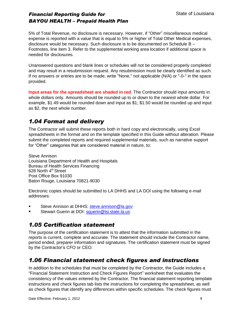5% of Total Revenue, no disclosure is necessary. However, if "Other" miscellaneous medical expense is reported with a value that is equal to 5% or higher of Total Other Medical expenses, disclosure would be necessary. Such disclosure is to be documented on Schedule B – Footnotes, line item 3. Refer to the supplemental working area location if additional space is needed for disclosures.

Unanswered questions and blank lines or schedules will not be considered properly completed and may result in a resubmission request. Any resubmission must be clearly identified as such. If no answers or entries are to be made, write "None," not applicable (N/A) or "-0-" in the space provided.

**Input areas for the spreadsheet are shaded in red**. The Contractor should input amounts in whole dollars only. Amounts should be rounded up to or down to the nearest whole dollar. For example, \$1.49 would be rounded down and input as \$1; \$1.50 would be rounded up and input as \$2, the next whole number.

#### *1.04 Format and delivery*

The Contractor will submit these reports both in hard copy and electronically, using Excel spreadsheets in the format and on the template specified in this Guide without alteration. Please submit the completed reports and required supplemental materials, such as narrative support for "Other" categories that are considered material in nature, to:

Steve Annison Louisiana Department of Health and Hospitals Bureau of Health Services Financing 628 North 4<sup>th</sup> Street Post Office Box 91030 Baton Rouge, Louisiana 70821-9030

Electronic copies should be submitted to LA DHHS and LA DOI using the following e-mail addresses:

- Steve Annison at DHHS: [steve.annison@la.gov](../../../../../Local%20Settings/Temporary%20Internet%20Files/Local%20Settings/Temporary%20Internet%20Files/OLKF/steve.annison@la.gov)
- Stewart Guerin at DOI: [squerin@lsi.state.la.us](../../../../../Local%20Settings/Temporary%20Internet%20Files/Local%20Settings/Temporary%20Internet%20Files/OLKF/squerin@lsi.state.la.us)

#### *1.05 Certification statement*

The purpose of the certification statement is to attest that the information submitted in the reports is current, complete and accurate. The statement should include the Contractor name, period ended, preparer information and signatures. The certification statement must be signed by the Contractor's CFO or CEO.

#### *1.06 Financial statement check figures and instructions*

In addition to the schedules that must be completed by the Contractor, the Guide includes a "Financial Statement Instruction and Check Figures Report" worksheet that evaluates the consistency of the values entered by the Contractor. The financial statement reporting template instructions and check figures tab lists the instructions for completing the spreadsheet, as well as check figures that identify any differences within specific schedules. The check figures must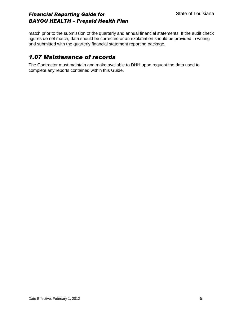match prior to the submission of the quarterly and annual financial statements. If the audit check figures do not match, data should be corrected or an explanation should be provided in writing and submitted with the quarterly financial statement reporting package.

#### *1.07 Maintenance of records*

The Contractor must maintain and make available to DHH upon request the data used to complete any reports contained within this Guide.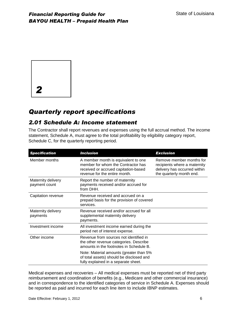

# *Quarterly report specifications*

#### *2.01 Schedule A: Income statement*

The Contractor shall report revenues and expenses using the full accrual method. The income statement, Schedule A, must agree to the total profitability by eligibility category report, Schedule C, for the quarterly reporting period.

| <b>Specification</b>                | <b>Inclusion</b>                                                                                                                                   | <b>Exclusion</b>                                                                                                     |
|-------------------------------------|----------------------------------------------------------------------------------------------------------------------------------------------------|----------------------------------------------------------------------------------------------------------------------|
| Member months                       | A member month is equivalent to one<br>member for whom the Contractor has<br>received or accrued capitation-based<br>revenue for the entire month. | Remove member months for<br>recipients where a maternity<br>delivery has occurred within<br>the quarterly month end. |
| Maternity delivery<br>payment count | Report the number of maternity<br>payments received and/or accrued for<br>from DHH.                                                                |                                                                                                                      |
| Capitation revenue                  | Revenue received and accrued on a<br>prepaid basis for the provision of covered<br>services.                                                       |                                                                                                                      |
| Maternity delivery<br>payments      | Revenue received and/or accrued for all<br>supplemental maternity delivery<br>payments.                                                            |                                                                                                                      |
| Investment income                   | All investment income earned during the<br>period net of interest expense.                                                                         |                                                                                                                      |
| Other income                        | Revenue from sources not identified in<br>the other revenue categories. Describe<br>amounts in the footnotes in Schedule B.                        |                                                                                                                      |
|                                     | Note: Material amounts (greater than 5%<br>of total assets) should be disclosed and<br>fully explained in a separate sheet.                        |                                                                                                                      |

Medical expenses and recoveries – All medical expenses must be reported net of third party reimbursement and coordination of benefits (e.g., Medicare and other commercial insurance) and in correspondence to the identified categories of service in Schedule A. Expenses should be reported as paid and incurred for each line item to include IBNP estimates.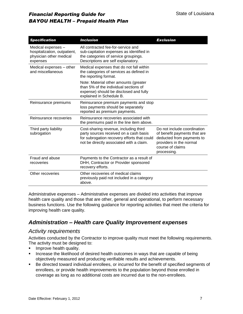| <b>Specification</b>                                                                      | <b>Inclusion</b>                                                                                                                                                           | <b>Exclusion</b>                                                                                                                                       |
|-------------------------------------------------------------------------------------------|----------------------------------------------------------------------------------------------------------------------------------------------------------------------------|--------------------------------------------------------------------------------------------------------------------------------------------------------|
| Medical expenses -<br>hospitalization, outpatient,<br>physician other medical<br>expenses | All contracted fee-for-service and<br>sub-capitation expenses as identified in<br>the categories of service groupings.<br>Descriptions are self explanatory.               |                                                                                                                                                        |
| Medical expenses - other<br>and miscellaneous                                             | Medical expenses that do not fall within<br>the categories of services as defined in<br>the reporting format.                                                              |                                                                                                                                                        |
|                                                                                           | Note: Material other amounts (greater<br>than 5% of the individual sections of<br>expense) should be disclosed and fully<br>explained in Schedule B.                       |                                                                                                                                                        |
| Reinsurance premiums                                                                      | Reinsurance premium payments and stop<br>loss payments should be separately<br>reported as premium payments.                                                               |                                                                                                                                                        |
| Reinsurance recoveries                                                                    | Reinsurance recoveries associated with<br>the premiums paid in the line item above.                                                                                        |                                                                                                                                                        |
| Third party liability<br>subrogation                                                      | Cost-sharing revenue, including third<br>party sources received on a cash basis<br>for subrogation recovery efforts that could<br>not be directly associated with a claim. | Do not include coordination<br>of benefit payments that are<br>deducted from payments to<br>providers in the normal<br>course of claims<br>processing. |
| Fraud and abuse<br>recoveries                                                             | Payments to the Contractor as a result of<br>DHH, Contractor or Provider sponsored<br>recovery efforts.                                                                    |                                                                                                                                                        |
| Other recoveries                                                                          | Other recoveries of medical claims<br>previously paid not included in a category<br>above.                                                                                 |                                                                                                                                                        |

Administrative expenses – Administrative expenses are divided into activities that improve health care quality and those that are other, general and operational, to perform necessary business functions. Use the following guidance for reporting activities that meet the criteria for improving health care quality.

#### *Administration – Health care Quality Improvement expenses*

#### *Activity requirements*

Activities conducted by the Contractor to improve quality must meet the following requirements. The activity must be designed to:

- Improve health quality.
- **Increase the likelihood of desired health outcomes in ways that are capable of being** objectively measured and producing verifiable results and achievements.
- Be directed toward individual enrollees, or incurred for the benefit of specified segments of enrollees, or provide health improvements to the population beyond those enrolled in coverage as long as no additional costs are incurred due to the non-enrollees.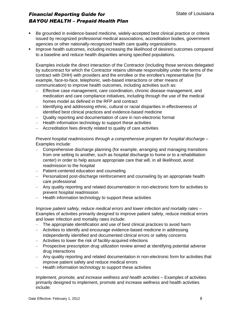- Be grounded in evidence-based medicine, widely-accepted best clinical practice or criteria issued by recognized professional medical associations, accreditation bodies, government agencies or other nationally-recognized health care quality organizations.
- Improve health outcomes, including increasing the likelihood of desired outcomes compared to a baseline and reduce health disparities among specified populations.

Examples include the direct interaction of the Contractor (including those services delegated by subcontract for which the Contractor retains ultimate responsibility under the terms of the contract with DHH) with providers and the enrollee or the enrollee's representative (for example, face-to-face, telephonic, web-based interactions or other means of communication) to improve health outcomes, including activities such as:

- Effective case management, care coordination, chronic disease management, and medication and care compliance initiatives, including through the use of the medical homes model as defined in the RFP and contract
- Identifying and addressing ethnic, cultural or racial disparities in effectiveness of identified best clinical practices and evidence-based medicine
- Quality reporting and documentation of care in non-electronic format
- Health information technology to support these activities
- Accreditation fees directly related to quality of care activities

*Prevent hospital readmissions through a comprehensive program for hospital discharge –* Examples include:

- Comprehensive discharge planning (for example, arranging and managing transitions from one setting to another, such as hospital discharge to home or to a rehabilitation center) in order to help assure appropriate care that will, in all likelihood, avoid readmission to the hospital
- Patient-centered education and counseling
- Personalized post-discharge reinforcement and counseling by an appropriate health care professional
- Any quality reporting and related documentation in non-electronic form for activities to prevent hospital readmission
- Health information technology to support these activities

*Improve patient safety, reduce medical errors and lower infection and mortality rates –* Examples of activities primarily designed to improve patient safety, reduce medical errors and lower infection and mortality rates include:

- The appropriate identification and use of best clinical practices to avoid harm
- Activities to identify and encourage evidence-based medicine in addressing independently identified and documented clinical errors or safety concerns
- Activities to lower the risk of facility-acquired infections
- Prospective prescription drug utilization review aimed at identifying potential adverse drug interactions
- Any quality reporting and related documentation in non-electronic form for activities that improve patient safety and reduce medical errors
- Health information technology to support these activities

*Implement, promote, and increase wellness and health activities –* Examples of activities primarily designed to implement, promote and increase wellness and health activities include: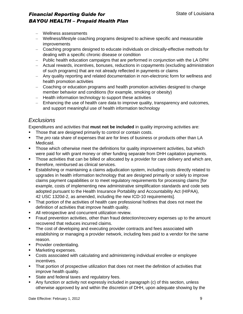- Wellness assessments
- Wellness/lifestyle coaching programs designed to achieve specific and measurable improvements
- Coaching programs designed to educate individuals on clinically-effective methods for dealing with a specific chronic disease or condition
- Public health education campaigns that are performed in conjunction with the LA DPH
- Actual rewards, incentives, bonuses, reductions in copayments (excluding administration of such programs) that are not already reflected in payments or claims
- Any quality reporting and related documentation in non-electronic form for wellness and health promotion activities
- Coaching or education programs and health promotion activities designed to change member behavior and conditions (for example, smoking or obesity)
- Health information technology to support these activities
- Enhancing the use of health care data to improve quality, transparency and outcomes, and support meaningful use of health information technology

#### *Exclusions*

Expenditures and activities that **must not be included** in quality improving activities are:

- Those that are designed primarily to control or contain costs.
- The *pro rata* share of expenses that are for lines of business or products other than LA Medicaid.
- Those which otherwise meet the definitions for quality improvement activities, but which were paid for with grant money or other funding separate from DHH capitation payments.
- Those activities that can be billed or allocated by a provider for care delivery and which are, therefore, reimbursed as clinical services.
- Establishing or maintaining a claims adjudication system, including costs directly related to upgrades in health information technology that are designed primarily or solely to improve claims payment capabilities or to meet regulatory requirements for processing claims [for example, costs of implementing new administrative simplification standards and code sets adopted pursuant to the Health Insurance Portability and Accountability Act (HIPAA), 42 USC 1320d-2, as amended, including the new ICD-10 requirements].
- That portion of the activities of health care professional hotlines that does not meet the definition of activities that improve health quality.
- All retrospective and concurrent utilization review.
- **Fraud prevention activities, other than fraud detection/recovery expenses up to the amount** recovered that reduces incurred claims.
- The cost of developing and executing provider contracts and fees associated with establishing or managing a provider network, including fees paid to a vendor for the same reason.
- **Provider credentialing.**
- **Marketing expenses.**
- Costs associated with calculating and administering individual enrollee or employee incentives.
- **That portion of prospective utilization that does not meet the definition of activities that** improve health quality.
- State and federal taxes and regulatory fees.
- Any function or activity not expressly included in paragraph (c) of this section, unless otherwise approved by and within the discretion of DHH, upon adequate showing by the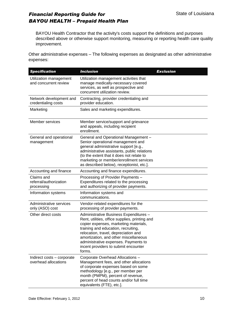BAYOU Health Contractor that the activity's costs support the definitions and purposes described above or otherwise support monitoring, measuring or reporting health care quality improvement.

Other administrative expenses – The following expenses as designated as other administrative expenses:

| <b>Specification</b>                               | <b>Inclusion</b>                                                                                                                                                                                                                                                                                                                                    | <b>Exclusion</b> |
|----------------------------------------------------|-----------------------------------------------------------------------------------------------------------------------------------------------------------------------------------------------------------------------------------------------------------------------------------------------------------------------------------------------------|------------------|
| Utilization management<br>and concurrent review    | Utilization management activities that<br>manage medically-necessary covered<br>services, as well as prospective and<br>concurrent utilization review.                                                                                                                                                                                              |                  |
| Network development and<br>credentialing costs     | Contracting, provider credentialing and<br>provider education.                                                                                                                                                                                                                                                                                      |                  |
| Marketing                                          | Sales and marketing expenditures.                                                                                                                                                                                                                                                                                                                   |                  |
| Member services                                    | Member service/support and grievance<br>and appeals, including recipient<br>enrollment.                                                                                                                                                                                                                                                             |                  |
| General and operational<br>management              | General and Operational Management -<br>Senior operational management and<br>general administrative support [e.g.,<br>administrative assistants, public relations<br>(to the extent that it does not relate to<br>marketing or member/enrollment services<br>as described below), receptionist, etc.].                                              |                  |
| Accounting and finance                             | Accounting and finance expenditures.                                                                                                                                                                                                                                                                                                                |                  |
| Claims and<br>referral/authorization<br>processing | Processing of Provider Payments -<br>Expenditures related to the processing<br>and authorizing of provider payments.                                                                                                                                                                                                                                |                  |
| Information systems                                | Information systems and<br>communications.                                                                                                                                                                                                                                                                                                          |                  |
| Administrative services<br>only (ASO) cost         | Vendor-related expenditures for the<br>processing of provider payments.                                                                                                                                                                                                                                                                             |                  |
| Other direct costs                                 | Administrative Business Expenditures -<br>Rent, utilities, office supplies, printing and<br>copier expenses, marketing materials,<br>training and education, recruiting,<br>relocation, travel, depreciation and<br>amortization, and other miscellaneous<br>administrative expenses. Payments to<br>incent providers to submit encounter<br>forms. |                  |
| Indirect costs - corporate<br>overhead allocations | Corporate Overhead Allocations -<br>Management fees, and other allocations<br>of corporate expenses based on some<br>methodology [e.g., per member per<br>month (PMPM), percent of revenue,<br>percent of head counts and/or full time<br>equivalents (FTE), etc.].                                                                                 |                  |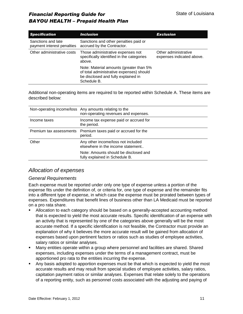| <b>Specification</b><br><i><b>Inclusion</b></i>  |                                                                                                                                           | <b>Exclusion</b>                                  |
|--------------------------------------------------|-------------------------------------------------------------------------------------------------------------------------------------------|---------------------------------------------------|
| Sanctions and late<br>payment interest penalties | Sanctions and other penalties paid or<br>accrued by the Contractor.                                                                       |                                                   |
| Other administrative costs                       | Those administrative expenses not<br>specifically identified in the categories<br>above.                                                  | Other administrative<br>expenses indicated above. |
|                                                  | Note: Material amounts (greater than 5%<br>of total administrative expenses) should<br>be disclosed and fully explained in<br>Schedule B. |                                                   |

Additional non-operating items are required to be reported within Schedule A. These items are described below:

|                         | Non-operating income/loss Any amounts relating to the<br>non-operating revenues and expenses. |
|-------------------------|-----------------------------------------------------------------------------------------------|
| Income taxes            | Income tax expense paid or accrued for<br>the period.                                         |
| Premium tax assessments | Premium taxes paid or accrued for the<br>period.                                              |
| Other                   | Any other income/loss not included<br>elsewhere in the income statement                       |
|                         | Note: Amounts should be disclosed and<br>fully explained in Schedule B.                       |

#### *Allocation of expenses*

#### *General Requirements*

Each expense must be reported under only one type of expense unless a portion of the expense fits under the definition of, or criteria for, one type of expense and the remainder fits into a different type of expense, in which case the expense must be prorated between types of expenses. Expenditures that benefit lines of business other than LA Medicaid must be reported on a pro rata share.

- Allocation to each category should be based on a generally-accepted accounting method that is expected to yield the most accurate results. Specific identification of an expense with an activity that is represented by one of the categories above generally will be the most accurate method. If a specific identification is not feasible, the Contractor must provide an explanation of why it believes the more accurate result will be gained from allocation of expenses based upon pertinent factors or ratios such as studies of employee activities, salary ratios or similar analyses.
- Many entities operate within a group where personnel and facilities are shared. Shared expenses, including expenses under the terms of a management contract, must be apportioned pro rata to the entities incurring the expense.
- Any basis adopted to apportion expenses must be that which is expected to yield the most accurate results and may result from special studies of employee activities, salary ratios, capitation payment ratios or similar analyses. Expenses that relate solely to the operations of a reporting entity, such as personnel costs associated with the adjusting and paying of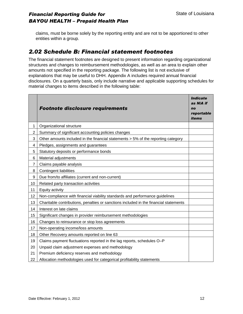claims, must be borne solely by the reporting entity and are not to be apportioned to other entities within a group.

#### *2.02 Schedule B: Financial statement footnotes*

The financial statement footnotes are designed to present information regarding organizational structures and changes to reimbursement methodologies, as well as an area to explain other amounts not specified in the reporting package. The following list is not exclusive of explanations that may be useful to DHH. Appendix A includes required annual financial disclosures. On a quarterly basis, only include narrative and applicable supporting schedules for material changes to items described in the following table:

|                | <b>Footnote disclosure requirements</b>                                               | <b>Indicate</b><br>as NIA if<br>no<br>reportable<br><i>items</i> |
|----------------|---------------------------------------------------------------------------------------|------------------------------------------------------------------|
| 1              | Organizational structure                                                              |                                                                  |
| 2              | Summary of significant accounting policies changes                                    |                                                                  |
| 3              | Other amounts included in the financial statements > 5% of the reporting category     |                                                                  |
| 4              | Pledges, assignments and guarantees                                                   |                                                                  |
| 5              | Statutory deposits or performance bonds                                               |                                                                  |
| 6              | Material adjustments                                                                  |                                                                  |
| $\overline{7}$ | Claims payable analysis                                                               |                                                                  |
| 8              | <b>Contingent liabilities</b>                                                         |                                                                  |
| 9              | Due from/to affiliates (current and non-current)                                      |                                                                  |
| 10             | Related party transaction activities                                                  |                                                                  |
| 11             | Equity activity                                                                       |                                                                  |
| 12             | Non-compliance with financial viability standards and performance guidelines          |                                                                  |
| 13             | Charitable contributions, penalties or sanctions included in the financial statements |                                                                  |
| 14             | Interest on late claims                                                               |                                                                  |
| 15             | Significant changes in provider reimbursement methodologies                           |                                                                  |
| 16             | Changes to reinsurance or stop loss agreements                                        |                                                                  |
| 17             | Non-operating income/loss amounts                                                     |                                                                  |
| 18             | Other Recovery amounts reported on line 63                                            |                                                                  |
| 19             | Claims payment fluctuations reported in the lag reports, schedules O-P                |                                                                  |
| 20             | Unpaid claim adjustment expenses and methodology                                      |                                                                  |
| 21             | Premium deficiency reserves and methodology                                           |                                                                  |
| 22             | Allocation methodologies used for categorical profitability statements                |                                                                  |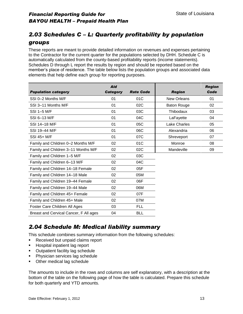### *2.03 Schedules C – L: Quarterly profitability by population groups*

These reports are meant to provide detailed information on revenues and expenses pertaining to the Contractor for the current quarter for the populations selected by DHH. Schedule C is automatically calculated from the county-based profitability reports (income statements). Schedules D through L report the results by region and should be reported based on the member's place of residence. The table below lists the population groups and associated data elements that help define each group for reporting purposes.

| <b>Population category</b>             | <b>Aid</b><br><b>Category</b> | <b>Rate Code</b> | <b>Region</b>       | <b>Region</b><br>Code |
|----------------------------------------|-------------------------------|------------------|---------------------|-----------------------|
| SSI 0-2 Months M/F                     | 01                            | 01C              | <b>New Orleans</b>  | 01                    |
| SSI 3-11 Months M/F                    | 01                            | 02C              | <b>Baton Rouge</b>  | 02                    |
| SSI 1-5 M/F                            | 01                            | 03C              | Thibodaux           | 03                    |
| SSI 6-13 M/F                           | 01                            | 04C              | LaFayette           | 04                    |
| SSI 14-18 M/F                          | 01                            | 05C              | <b>Lake Charles</b> | 05                    |
| SSI 19-44 M/F                          | 01                            | 06C              | Alexandria          | 06                    |
| SSI 45+ M/F                            | 01                            | 07C              | Shreveport          | 07                    |
| Family and Children 0-2 Months M/F     | 02                            | 01C              | Monroe              | 08                    |
| Family and Children 3-11 Months M/F    | 02                            | 02C              | Mandeville          | 09                    |
| Family and Children 1-5 M/F            | 02                            | 03C              |                     |                       |
| Family and Children 6-13 M/F           | 02                            | 04C              |                     |                       |
| Family and Children 14-18 Female       | 02                            | 05F              |                     |                       |
| Family and Children 14-18 Male         | 02                            | 05M              |                     |                       |
| Family and Children 19-44 Female       | 02                            | 06F              |                     |                       |
| Family and Children 19-44 Male         | 02                            | 06M              |                     |                       |
| Family and Children 45+ Female         | 02                            | 07F              |                     |                       |
| Family and Children 45+ Male           | 02                            | 07M              |                     |                       |
| Foster Care Children All Ages          | 03                            | <b>FLL</b>       |                     |                       |
| Breast and Cervical Cancer, F All ages | 04                            | <b>BLL</b>       |                     |                       |

#### *2.04 Schedule M: Medical liability summary*

This schedule combines summary information from the following schedules:

- Received but unpaid claims report
- **Hospital inpatient lag report**
- **•** Outpatient facility lag schedule
- **Physician services lag schedule**
- Other medical lag schedule

The amounts to include in the rows and columns are self explanatory, with a description at the bottom of the table on the following page of how the table is calculated. Prepare this schedule for both quarterly and YTD amounts.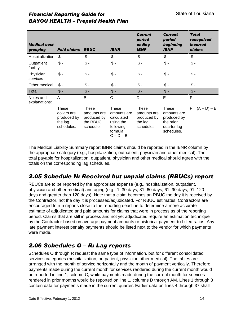| <b>Financial Reporting Guide for</b>      |  |
|-------------------------------------------|--|
| <b>BAYOU HEALTH - Prepaid Health Plan</b> |  |

| <b>Medical cost</b><br>grouping | <b>Paid claims</b>                                           | <b>RBUC</b>                                                  | <b>IBNR</b>                                                                             | <b>Current</b><br>period<br>ending<br><b>IBNP</b>            | <b>Current</b><br>period<br>beginning<br><b>IBNP</b>                          | <b>Total</b><br>recognized<br><i>incurred</i><br>claims |
|---------------------------------|--------------------------------------------------------------|--------------------------------------------------------------|-----------------------------------------------------------------------------------------|--------------------------------------------------------------|-------------------------------------------------------------------------------|---------------------------------------------------------|
| Hospitalization                 | $\mathsf{\$}$ -                                              | $$ -$                                                        | $$ -$                                                                                   | $$ -$                                                        | $\frac{2}{3}$ -                                                               | $$ -$                                                   |
| Outpatient<br>facility          | $\frac{1}{2}$                                                | $\frac{2}{3}$ .                                              | $\frac{2}{3}$ .                                                                         | $\frac{1}{2}$                                                | $\frac{2}{3}$ -                                                               | $\frac{1}{2}$ .                                         |
| Physician<br>services           | $\frac{2}{3}$ -                                              | $\frac{1}{2}$                                                | $\frac{2}{3}$ -                                                                         | $\frac{1}{2}$                                                | $\frac{1}{2}$                                                                 | $\frac{2}{3}$ -                                         |
| Other medical                   | $\frac{1}{2}$ .                                              | $\frac{2}{3}$ .                                              | $$ -$                                                                                   | $\frac{1}{2}$                                                | $\frac{2}{3}$ -                                                               | $$ -$                                                   |
| Total                           | $$ -$                                                        | $$ -$                                                        | $$ -$                                                                                   | $\frac{1}{2}$                                                | $$ -$                                                                         | $$ -$                                                   |
| Notes and<br>explanations:      | A                                                            | B                                                            | С                                                                                       | D                                                            | E                                                                             | F                                                       |
|                                 | These<br>dollars are<br>produced by<br>the lag<br>schedules. | These<br>amounts are<br>produced by<br>the RBUC<br>schedule. | These<br>amounts are<br>calculated<br>using the<br>following<br>formula:<br>$C = D - B$ | These<br>amounts are<br>produced by<br>the lag<br>schedules. | These<br>amounts are<br>produced by<br>the prior<br>quarter lag<br>schedules. | $F = (A + D) - E$                                       |

The Medical Liability Summary report IBNR claims should be reported in the IBNR column by the appropriate category (e.g., hospitalization, outpatient, physician and other medical). The total payable for hospitalization, outpatient, physician and other medical should agree with the totals on the corresponding lag schedules.

#### *2.05 Schedule N: Received but unpaid claims (RBUCs) report*

RBUCs are to be reported by the appropriate expense (e.g., hospitalization, outpatient, physician and other medical) and aging (e.g., 1–30 days, 31–60 days, 61–90 days, 91–120 days and greater than 120 days). Note that a claim becomes an RBUC the day it is received by the Contractor, not the day it is processed/adjudicated. For RBUC estimates, Contractors are encouraged to run reports close to the reporting deadline to determine a more accurate estimate of adjudicated and paid amounts for claims that were in process as of the reporting period. Claims that are still in process and not yet adjudicated require an estimation technique by the Contractor based on average payment amounts or historical payment-to-billed ratios. Any late payment interest penalty payments should be listed next to the vendor for which payments were made.

#### *2.06 Schedules O – R: Lag reports*

Schedules O through R request the same type of information, but for different consolidated services categories (hospitalization, outpatient, physician other medical). The tables are arranged with the month of service horizontally and the month of payment vertically. Therefore, payments made during the current month for services rendered during the current month would be reported in line 1, column C, while payments made during the current month for services rendered in prior months would be reported on line 1, columns D through AM. Lines 1 through 3 contain data for payments made in the current quarter. Earlier data on lines 4 through 37 shall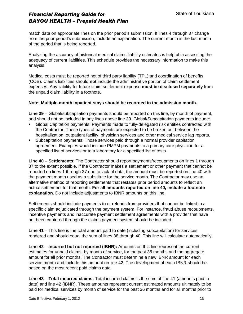match data on appropriate lines on the prior period's submission. If lines 4 through 37 change from the prior period's submission, include an explanation. The current month is the last month of the period that is being reported.

Analyzing the accuracy of historical medical claims liability estimates is helpful in assessing the adequacy of current liabilities. This schedule provides the necessary information to make this analysis.

Medical costs must be reported net of third party liability (TPL) and coordination of benefits (COB). Claims liabilities should **not** include the administrative portion of claim settlement expenses. Any liability for future claim settlement expense **must be disclosed separately** from the unpaid claim liability in a footnote.

#### **Note: Multiple-month inpatient stays should be recorded in the admission month.**

**Line 39** – Global/subcapitation payments should be reported on this line, by month of payment, and should not be included in any lines above line 39. Global/Subcapitation payments include:

- Global Capitation payments: Payments made to fully-delegated risk entities contracted with the Contractor. These types of payments are expected to be broken out between the hospitalization, outpatient facility, physician services and other medical service lag reports.
- Subcapitation payments: Those services paid through a normal provider capitation agreement. Examples would include PMPM payments to a primary care physician for a specified list of services or to a laboratory for a specified list of tests.

**Line 40** – **Settlements**: The Contractor should report payments/recoupments on lines 1 through 37 to the extent possible. If the Contractor makes a settlement or other payment that cannot be reported on lines 1 through 37 due to lack of data, the amount must be reported on line 40 with the payment month used as a substitute for the service month. The Contractor may use an alternative method of reporting settlements that restates prior period amounts to reflect an actual settlement for that month. **For all amounts reported on line 40, include a footnote explanation**. Do not include adjustments to IBNR amounts on this line.

Settlements should include payments to or refunds from providers that cannot be linked to a specific claim adjudicated through the payment system. For instance, fraud abuse recoupments, incentive payments and inaccurate payment settlement agreements with a provider that have not been captured through the claims payment system should be included.

**Line 41** – This line is the total amount paid to date (including subcapitation) for services rendered and should equal the sum of lines 38 through 40. This line will calculate automatically.

**Line 42** – **Incurred but not reported (IBNR):** Amounts on this line represent the current estimates for unpaid claims, by month of service, for the past 36 months and the aggregate amount for all prior months. The Contractor must determine a new IBNR amount for each service month and include this amount on line 42. The development of each IBNR should be based on the most recent paid claims data.

**Line 43** – **Total incurred claims:** Total incurred claims is the sum of line 41 (amounts paid to date) and line 42 (IBNR). These amounts represent current estimated amounts ultimately to be paid for medical services by month of service for the past 36 months and for all months prior to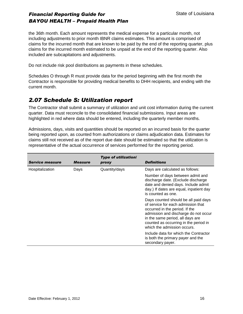the 36th month. Each amount represents the medical expense for a particular month, not including adjustments to prior month IBNR claims estimates. This amount is comprised of claims for the incurred month that are known to be paid by the end of the reporting quarter, plus claims for the incurred month estimated to be unpaid at the end of the reporting quarter. Also included are subcapitations and adjustments.

Do not include risk pool distributions as payments in these schedules.

Schedules O through R must provide data for the period beginning with the first month the Contractor is responsible for providing medical benefits to DHH recipients, and ending with the current month.

#### *2.07 Schedule S: Utilization report*

The Contractor shall submit a summary of utilization and unit cost information during the current quarter. Data must reconcile to the consolidated financial submissions. Input areas are highlighted in red where data should be entered, including the quarterly member months.

Admissions, days, visits and quantities should be reported on an incurred basis for the quarter being reported upon, as counted from authorizations or claims adjudication data. Estimates for claims still not received as of the report due date should be estimated so that the utilization is representative of the actual occurrence of services performed for the reporting period.

| <b>Service measure</b> | <b>Measure</b> | <b>Type of utilization!</b><br>proxy | <b>Definitions</b>                                                                                                                                                                                                                                               |
|------------------------|----------------|--------------------------------------|------------------------------------------------------------------------------------------------------------------------------------------------------------------------------------------------------------------------------------------------------------------|
| Hospitalization        | Days           | Quantity/days                        | Days are calculated as follows:                                                                                                                                                                                                                                  |
|                        |                |                                      | Number of days between admit and<br>discharge date. (Exclude discharge<br>date and denied days. Include admit<br>day.) If dates are equal, inpatient day<br>is counted as one.                                                                                   |
|                        |                |                                      | Days counted should be all paid days<br>of service for each admission that<br>occurred in the period. If the<br>admission and discharge do not occur<br>in the same period, all days are<br>counted as occurring in the period in<br>which the admission occurs. |
|                        |                |                                      | Include data for which the Contractor<br>is both the primary payer and the<br>secondary payer.                                                                                                                                                                   |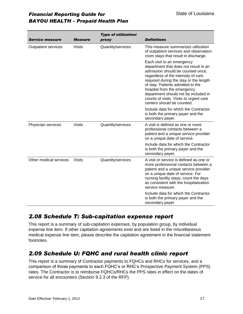| <b>Service measure</b>     | <b>Measure</b> | <b>Type of utilization!</b><br>proxy | <b>Definitions</b>                                                                                                                                                                                                                                                                                                                                                             |
|----------------------------|----------------|--------------------------------------|--------------------------------------------------------------------------------------------------------------------------------------------------------------------------------------------------------------------------------------------------------------------------------------------------------------------------------------------------------------------------------|
| <b>Outpatient services</b> | <b>Visits</b>  | Quantity/services                    | This measure summarizes utilization<br>of outpatient services and observation<br>room stays that result in discharge.                                                                                                                                                                                                                                                          |
|                            |                |                                      | Each visit to an emergency<br>department that does not result in an<br>admission should be counted once,<br>regardless of the intensity of care<br>required during the stay or the length<br>of stay. Patients admitted to the<br>hospital from the emergency<br>department should not be included in<br>counts of visits. Visits to urgent care<br>centers should be counted. |
|                            |                |                                      | Include data for which the Contractor<br>is both the primary payer and the<br>secondary payer.                                                                                                                                                                                                                                                                                 |
| Physician services         | <b>Visits</b>  | Quantity/services                    | A visit is defined as one or more<br>professional contacts between a<br>patient and a unique service provider<br>on a unique date of service.                                                                                                                                                                                                                                  |
|                            |                |                                      | Include data for which the Contractor<br>is both the primary payer and the<br>secondary payer.                                                                                                                                                                                                                                                                                 |
| Other medical services     | <b>Visits</b>  | Quantity/services                    | A visit or service is defined as one or<br>more professional contacts between a<br>patient and a unique service provider<br>on a unique date of service. For<br>nursing facility stays, count the days<br>as consistent with the hospitalization<br>service measure.                                                                                                           |
|                            |                |                                      | Include data for which the Contractor<br>is both the primary payer and the<br>secondary payer.                                                                                                                                                                                                                                                                                 |

#### *2.08 Schedule T: Sub-capitation expense report*

This report is a summary of sub-capitation expenses, by population group, by individual expense line item. If other capitation agreements exist and are listed in the miscellaneous medical expense line item, please describe the capitation agreement in the financial statement footnotes.

#### *2.09 Schedule U: FQHC and rural health clinic report*

This report is a summary of Contractor payments to FQHCs and RHCs for services, and a comparison of those payments to each FQHC's or RHC's Prospective Payment System (PPS) rates. The Contractor is to reimburse FQHCs/RHCs the PPS rates in effect on the dates of service for all encounters (Section 9.2.3 of the RFP).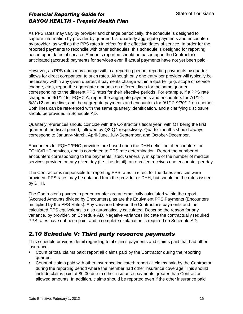As PPS rates may vary by provider and change periodically, the schedule is designed to capture information by provider by quarter. List quarterly aggregate payments and encounters by provider, as well as the PPS rates in effect for the effective dates of service. In order for the reported payments to reconcile with other schedules, this schedule is designed for reporting based upon dates of service. Amounts reported should be based upon the Contractor's anticipated (accrued) payments for services even if actual payments have not yet been paid.

However, as PPS rates may change within a reporting period, reporting payments by quarter allows for direct comparison to such rates. Although only one entry per provider will typically be necessary within any given quarter, if payments change within a quarter (e.g. scope of service change, etc.), report the aggregate amounts on different lines for the same quarter corresponding to the different PPS rates for their effective periods. For example, if a PPS rate changed on 9/1/12 for FQHC A, report the aggregate payments and encounters for 7/1/12- 8/31/12 on one line, and the aggregate payments and encounters for 9/1/12-9/30/12 on another. Both lines can be referenced with the same quarterly identification, and a clarifying disclosure should be provided in Schedule AD.

Quarterly references should coincide with the Contractor's fiscal year, with Q1 being the first quarter of the fiscal period, followed by Q2-Q4 respectively. Quarter months should always correspond to January-March, April-June, July-September, and October-December.

Encounters for FQHC/RHC providers are based upon the DHH definition of encounters for FQHC/RHC services, and is correlated to PPS rate determination. Report the number of encounters corresponding to the payments listed. Generally, in spite of the number of medical services provided on any given day (i.e. line detail), an enrollee receives one encounter per day.

The Contractor is responsible for reporting PPS rates in effect for the dates services were provided. PPS rates may be obtained from the provider or DHH, but should be the rates issued by DHH.

The Contractor's payments per encounter are automatically calculated within the report (Accrued Amounts divided by Encounters), as are the Equivalent PPS Payments (Encounters multiplied by the PPS Rates). Any variance between the Contractor's payments and the calculated PPS equivalents is also automatically calculated. Describe the reason for any variance, by provider, on Schedule AD. Negative variances indicate the contractually required PPS rates have not been paid, and a complete explanation is required on Schedule AD.

#### *2.10 Schedule V: Third party resource payments*

This schedule provides detail regarding total claims payments and claims paid that had other insurance.

- Count of total claims paid: report all claims paid by the Contractor during the reporting quarter.
- Count of claims paid with other insurance indicated: report all claims paid by the Contractor during the reporting period where the member had other insurance coverage. This should include claims paid at \$0.00 due to other insurance payments greater than Contractor allowed amounts. In addition, claims should be reported even if the other insurance paid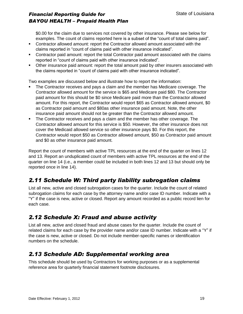\$0.00 for the claim due to services not covered by other insurance. Please see below for examples. The count of claims reported here is a subset of the "count of total claims paid".

- Contractor allowed amount: report the Contractor allowed amount associated with the claims reported in "count of claims paid with other insurance indicated".
- Contractor paid amount: report the total Contractor paid amount associated with the claims reported in "count of claims paid with other insurance indicated".
- Other insurance paid amount: report the total amount paid by other insurers associated with the claims reported in "count of claims paid with other insurance indicated".

Two examples are discussed below and illustrate how to report the information:

- The Contractor receives and pays a claim and the member has Medicare coverage. The Contractor allowed amount for the service is \$65 and Medicare paid \$80. The Contractor paid amount for this should be \$0 since Medicare paid more than the Contractor allowed amount. For this report, the Contractor would report \$65 as Contractor allowed amount, \$0 as Contractor paid amount and \$80as other insurance paid amount. Note, the other insurance paid amount should not be greater than the Contractor allowed amount.
- The Contractor receives and pays a claim and the member has other coverage. The Contractor allowed amount for this service is \$50. However, the other insurance does not cover the Medicaid allowed service so other insurance pays \$0. For this report, the Contractor would report \$50 as Contractor allowed amount, \$50 as Contractor paid amount and \$0 as other insurance paid amount.

Report the count of members with active TPL resources at the end of the quarter on lines 12 and 13. Report an unduplicated count of members with active TPL resources at the end of the quarter on line 14 (i.e., a member could be included in both lines 12 and 13 but should only be reported once in line 14).

### *2.11 Schedule W: Third party liability subrogation claims*

List all new, active and closed subrogation cases for the quarter. Include the count of related subrogation claims for each case by the attorney name and/or case ID number. Indicate with a "Y" if the case is new, active or closed. Report any amount recorded as a public record lien for each case.

### *2.12 Schedule X: Fraud and abuse activity*

List all new, active and closed fraud and abuse cases for the quarter. Include the count of related claims for each case by the provider name and/or case ID number. Indicate with a "Y" if the case is new, active or closed. Do not include member-specific names or identification numbers on the schedule.

#### *2.13 Schedule AD: Supplemental working area*

This schedule should be used by Contractors for working purposes or as a supplemental reference area for quarterly financial statement footnote disclosures.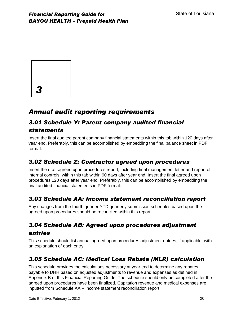

## *Annual audit reporting requirements*

#### *3.01 Schedule Y: Parent company audited financial statements*

Insert the final audited parent company financial statements within this tab within 120 days after year end. Preferably, this can be accomplished by embedding the final balance sheet in PDF format.

### *3.02 Schedule Z: Contractor agreed upon procedures*

Insert the draft agreed upon procedures report, including final management letter and report of internal controls, within this tab within 90 days after year end. Insert the final agreed upon procedures 120 days after year end. Preferably, this can be accomplished by embedding the final audited financial statements in PDF format.

#### *3.03 Schedule AA: Income statement reconciliation report*

Any changes from the fourth quarter YTD quarterly submission schedules based upon the agreed upon procedures should be reconciled within this report.

### *3.04 Schedule AB: Agreed upon procedures adjustment entries*

This schedule should list annual agreed upon procedures adjustment entries, if applicable, with an explanation of each entry.

#### *3.05 Schedule AC: Medical Loss Rebate (MLR) calculation*

This schedule provides the calculations necessary at year end to determine any rebates payable to DHH based on adjusted adjustments to revenue and expenses as defined in Appendix B of this Financial Reporting Guide. The schedule should only be completed after the agreed upon procedures have been finalized. Capitation revenue and medical expenses are inputted from Schedule AA – Income statement reconciliation report.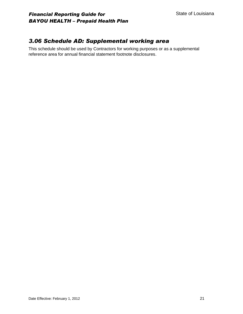#### *3.06 Schedule AD: Supplemental working area*

This schedule should be used by Contractors for working purposes or as a supplemental reference area for annual financial statement footnote disclosures.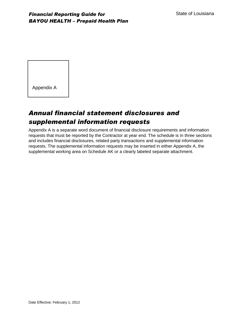Appendix A

# *Annual financial statement disclosures and supplemental information requests*

Appendix A is a separate word document of financial disclosure requirements and information requests that must be reported by the Contractor at year end. The schedule is in three sections and includes financial disclosures, related party transactions and supplemental information requests. The supplemental information requests may be inserted in either Appendix A, the supplemental working area on Schedule AK or a clearly labeled separate attachment.